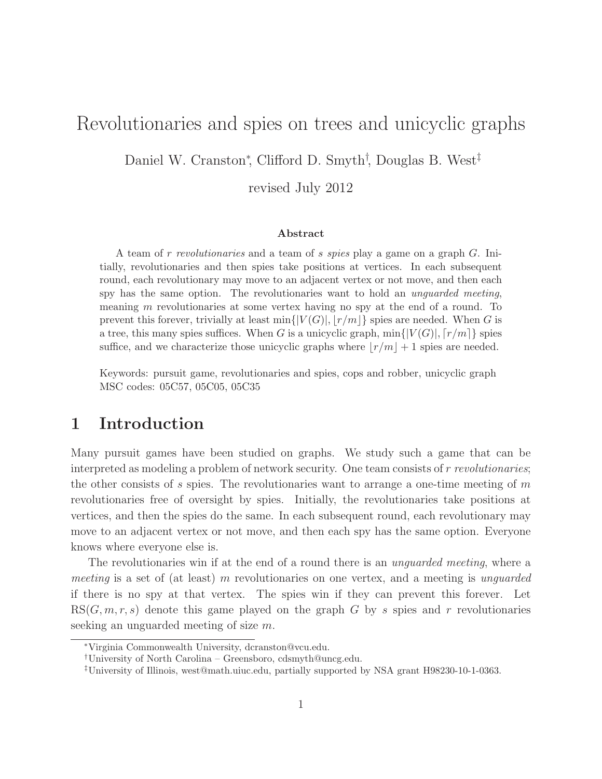# Revolutionaries and spies on trees and unicyclic graphs

Daniel W. Cranston<sup>∗</sup> , Clifford D. Smyth† , Douglas B. West‡

revised July 2012

#### Abstract

A team of r revolutionaries and a team of s spies play a game on a graph G. Initially, revolutionaries and then spies take positions at vertices. In each subsequent round, each revolutionary may move to an adjacent vertex or not move, and then each spy has the same option. The revolutionaries want to hold an *unguarded meeting*, meaning m revolutionaries at some vertex having no spy at the end of a round. To prevent this forever, trivially at least  $\min\{|V(G)|, |r/m|\}$  spies are needed. When G is a tree, this many spies suffices. When G is a unicyclic graph,  $\min\{|V(G)|, |r/m|\}$  spies suffice, and we characterize those unicyclic graphs where  $\lfloor r/m \rfloor + 1$  spies are needed.

Keywords: pursuit game, revolutionaries and spies, cops and robber, unicyclic graph MSC codes: 05C57, 05C05, 05C35

#### 1 Introduction

Many pursuit games have been studied on graphs. We study such a game that can be interpreted as modeling a problem of network security. One team consists of r revolutionaries; the other consists of  $s$  spies. The revolutionaries want to arrange a one-time meeting of  $m$ revolutionaries free of oversight by spies. Initially, the revolutionaries take positions at vertices, and then the spies do the same. In each subsequent round, each revolutionary may move to an adjacent vertex or not move, and then each spy has the same option. Everyone knows where everyone else is.

The revolutionaries win if at the end of a round there is an *unguarded meeting*, where a meeting is a set of (at least) m revolutionaries on one vertex, and a meeting is unguarded if there is no spy at that vertex. The spies win if they can prevent this forever. Let  $RS(G, m, r, s)$  denote this game played on the graph G by s spies and r revolutionaries seeking an unguarded meeting of size m.

<sup>∗</sup>Virginia Commonwealth University, dcranston@vcu.edu.

<sup>†</sup>University of North Carolina – Greensboro, cdsmyth@uncg.edu.

<sup>‡</sup>University of Illinois, west@math.uiuc.edu, partially supported by NSA grant H98230-10-1-0363.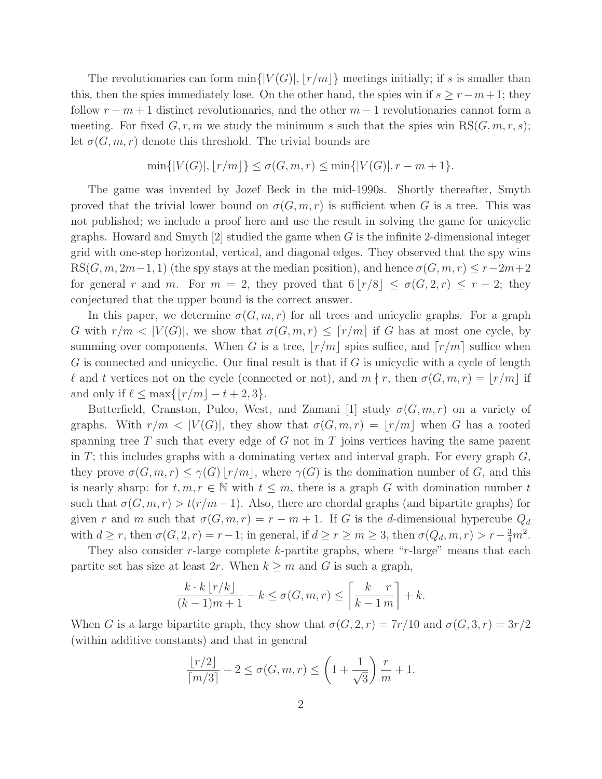The revolutionaries can form  $\min\{|V(G)|, |r/m|\}$  meetings initially; if s is smaller than this, then the spies immediately lose. On the other hand, the spies win if  $s \geq r - m + 1$ ; they follow  $r - m + 1$  distinct revolutionaries, and the other  $m - 1$  revolutionaries cannot form a meeting. For fixed  $G, r, m$  we study the minimum s such that the spies win  $RS(G, m, r, s);$ let  $\sigma(G,m,r)$  denote this threshold. The trivial bounds are

$$
\min\{|V(G)|, |r/m|\} \le \sigma(G, m, r) \le \min\{|V(G)|, r - m + 1\}.
$$

The game was invented by Jozef Beck in the mid-1990s. Shortly thereafter, Smyth proved that the trivial lower bound on  $\sigma(G,m,r)$  is sufficient when G is a tree. This was not published; we include a proof here and use the result in solving the game for unicyclic graphs. Howard and Smyth  $[2]$  studied the game when G is the infinite 2-dimensional integer grid with one-step horizontal, vertical, and diagonal edges. They observed that the spy wins  $RS(G, m, 2m-1, 1)$  (the spy stays at the median position), and hence  $\sigma(G, m, r) \leq r-2m+2$ for general r and m. For  $m = 2$ , they proved that  $6 |r/8| \le \sigma(G, 2, r) \le r - 2$ ; they conjectured that the upper bound is the correct answer.

In this paper, we determine  $\sigma(G, m, r)$  for all trees and unicyclic graphs. For a graph G with  $r/m < |V(G)|$ , we show that  $\sigma(G, m, r) \leq \lceil r/m \rceil$  if G has at most one cycle, by summing over components. When G is a tree,  $|r/m|$  spies suffice, and  $[r/m]$  suffice when G is connected and unicyclic. Our final result is that if  $G$  is unicyclic with a cycle of length l and t vertices not on the cycle (connected or not), and  $m \nmid r$ , then  $\sigma(G,m,r) = |r/m|$  if and only if  $\ell \leq \max\{|r/m| - t + 2, 3\}.$ 

Butterfield, Cranston, Puleo, West, and Zamani [1] study  $\sigma(G,m,r)$  on a variety of graphs. With  $r/m < |V(G)|$ , they show that  $\sigma(G,m,r) = |r/m|$  when G has a rooted spanning tree T such that every edge of G not in T joins vertices having the same parent in  $T$ ; this includes graphs with a dominating vertex and interval graph. For every graph  $G$ , they prove  $\sigma(G,m,r) \leq \gamma(G) |r/m|$ , where  $\gamma(G)$  is the domination number of G, and this is nearly sharp: for  $t, m, r \in \mathbb{N}$  with  $t \leq m$ , there is a graph G with domination number t such that  $\sigma(G,m,r) > t(r/m-1)$ . Also, there are chordal graphs (and bipartite graphs) for given r and m such that  $\sigma(G, m, r) = r - m + 1$ . If G is the d-dimensional hypercube  $Q_d$ with  $d \ge r$ , then  $\sigma(G, 2, r) = r - 1$ ; in general, if  $d \ge r \ge m \ge 3$ , then  $\sigma(Q_d, m, r) > r - \frac{3}{4}m^2$ .

They also consider  $r$ -large complete  $k$ -partite graphs, where " $r$ -large" means that each partite set has size at least 2r. When  $k \geq m$  and G is such a graph,

$$
\frac{k \cdot k \lfloor r/k \rfloor}{(k-1)m+1} - k \le \sigma(G, m, r) \le \left\lceil \frac{k}{k-1} \frac{r}{m} \right\rceil + k.
$$

When G is a large bipartite graph, they show that  $\sigma(G, 2, r) = 7r/10$  and  $\sigma(G, 3, r) = 3r/2$ (within additive constants) and that in general

$$
\frac{\lfloor r/2 \rfloor}{\lceil m/3 \rceil} - 2 \le \sigma(G, m, r) \le \left(1 + \frac{1}{\sqrt{3}}\right) \frac{r}{m} + 1.
$$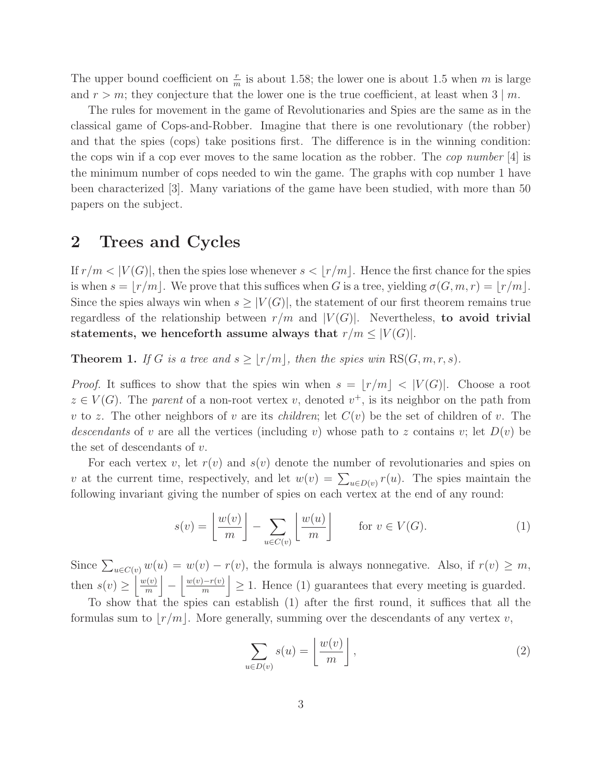The upper bound coefficient on  $\frac{r}{m}$  is about 1.58; the lower one is about 1.5 when m is large and  $r > m$ ; they conjecture that the lower one is the true coefficient, at least when  $3 \mid m$ .

The rules for movement in the game of Revolutionaries and Spies are the same as in the classical game of Cops-and-Robber. Imagine that there is one revolutionary (the robber) and that the spies (cops) take positions first. The difference is in the winning condition: the cops win if a cop ever moves to the same location as the robber. The *cop number* [4] is the minimum number of cops needed to win the game. The graphs with cop number 1 have been characterized [3]. Many variations of the game have been studied, with more than 50 papers on the subject.

## 2 Trees and Cycles

If  $r/m < |V(G)|$ , then the spies lose whenever  $s < |r/m|$ . Hence the first chance for the spies is when  $s = |r/m|$ . We prove that this suffices when G is a tree, yielding  $\sigma(G, m, r) = |r/m|$ . Since the spies always win when  $s \geq |V(G)|$ , the statement of our first theorem remains true regardless of the relationship between  $r/m$  and  $|V(G)|$ . Nevertheless, to avoid trivial statements, we henceforth assume always that  $r/m \leq |V(G)|$ .

**Theorem 1.** If G is a tree and  $s \geq \lfloor r/m \rfloor$ , then the spies win RS(G, m, r, s).

*Proof.* It suffices to show that the spies win when  $s = |r/m| < |V(G)|$ . Choose a root  $z \in V(G)$ . The parent of a non-root vertex v, denoted  $v^+$ , is its neighbor on the path from v to z. The other neighbors of v are its *children*; let  $C(v)$  be the set of children of v. The descendants of v are all the vertices (including v) whose path to z contains v; let  $D(v)$  be the set of descendants of v.

For each vertex v, let  $r(v)$  and  $s(v)$  denote the number of revolutionaries and spies on v at the current time, respectively, and let  $w(v) = \sum_{u \in D(v)} r(u)$ . The spies maintain the following invariant giving the number of spies on each vertex at the end of any round:

$$
s(v) = \left\lfloor \frac{w(v)}{m} \right\rfloor - \sum_{u \in C(v)} \left\lfloor \frac{w(u)}{m} \right\rfloor \quad \text{for } v \in V(G). \tag{1}
$$

Since  $\sum_{u \in C(v)} w(u) = w(v) - r(v)$ , the formula is always nonnegative. Also, if  $r(v) \geq m$ , then  $s(v) \geq \left\lfloor \frac{w(v)}{m} \right\rfloor$  $\frac{v(v)}{m}$ −  $w(v)-r(v)$  $\left| \frac{e^{-r(v)}}{m} \right| \geq 1$ . Hence (1) guarantees that every meeting is guarded.

To show that the spies can establish (1) after the first round, it suffices that all the formulas sum to  $|r/m|$ . More generally, summing over the descendants of any vertex v,

$$
\sum_{u \in D(v)} s(u) = \left\lfloor \frac{w(v)}{m} \right\rfloor, \tag{2}
$$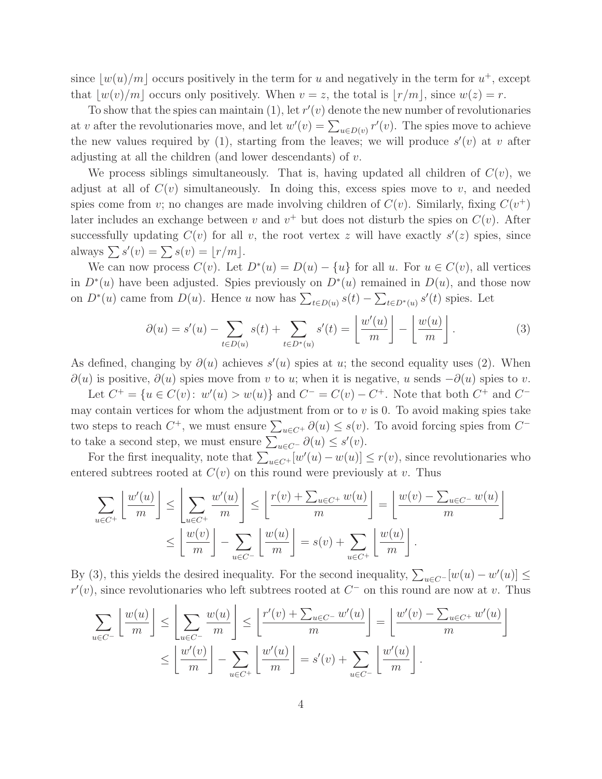since  $\lfloor w(u)/m \rfloor$  occurs positively in the term for u and negatively in the term for  $u^+$ , except that  $|w(v)/m|$  occurs only positively. When  $v = z$ , the total is  $|r/m|$ , since  $w(z) = r$ .

To show that the spies can maintain  $(1)$ , let  $r'(v)$  denote the new number of revolutionaries at v after the revolutionaries move, and let  $w'(v) = \sum_{u \in D(v)} r'(v)$ . The spies move to achieve the new values required by (1), starting from the leaves; we will produce  $s'(v)$  at v after adjusting at all the children (and lower descendants) of  $v$ .

We process siblings simultaneously. That is, having updated all children of  $C(v)$ , we adjust at all of  $C(v)$  simultaneously. In doing this, excess spies move to v, and needed spies come from v; no changes are made involving children of  $C(v)$ . Similarly, fixing  $C(v^+)$ later includes an exchange between v and  $v^+$  but does not disturb the spies on  $C(v)$ . After successfully updating  $C(v)$  for all v, the root vertex z will have exactly  $s'(z)$  spies, since always  $\sum s'(v) = \sum s(v) = \lfloor r/m \rfloor$ .

We can now process  $C(v)$ . Let  $D^*(u) = D(u) - \{u\}$  for all u. For  $u \in C(v)$ , all vertices in  $D^*(u)$  have been adjusted. Spies previously on  $D^*(u)$  remained in  $D(u)$ , and those now on  $D^*(u)$  came from  $D(u)$ . Hence u now has  $\sum_{t\in D(u)} s(t) - \sum_{t\in D^*(u)} s'(t)$  spies. Let

$$
\partial(u) = s'(u) - \sum_{t \in D(u)} s(t) + \sum_{t \in D^*(u)} s'(t) = \left\lfloor \frac{w'(u)}{m} \right\rfloor - \left\lfloor \frac{w(u)}{m} \right\rfloor.
$$
 (3)

As defined, changing by  $\partial(u)$  achieves  $s'(u)$  spies at u; the second equality uses (2). When  $\partial(u)$  is positive,  $\partial(u)$  spies move from v to u; when it is negative, u sends  $-\partial(u)$  spies to v.

Let  $C^+ = \{u \in C(v): w'(u) > w(u)\}$  and  $C^- = C(v) - C^+$ . Note that both  $C^+$  and  $C^$ may contain vertices for whom the adjustment from or to  $v$  is 0. To avoid making spies take two steps to reach  $C^+$ , we must ensure  $\sum_{u \in C^+} \partial(u) \leq s(v)$ . To avoid forcing spies from  $C^$ to take a second step, we must ensure  $\sum_{u \in C^{-}} \partial(u) \leq s'(v)$ .

For the first inequality, note that  $\sum_{u \in C^+} [w'(u) - w(u)] \le r(v)$ , since revolutionaries who entered subtrees rooted at  $C(v)$  on this round were previously at v. Thus

$$
\sum_{u \in C^{+}} \left\lfloor \frac{w'(u)}{m} \right\rfloor \le \left\lfloor \sum_{u \in C^{+}} \frac{w'(u)}{m} \right\rfloor \le \left\lfloor \frac{r(v) + \sum_{u \in C^{+}} w(u)}{m} \right\rfloor = \left\lfloor \frac{w(v) - \sum_{u \in C^{-}} w(u)}{m} \right\rfloor
$$

$$
\le \left\lfloor \frac{w(v)}{m} \right\rfloor - \sum_{u \in C^{-}} \left\lfloor \frac{w(u)}{m} \right\rfloor = s(v) + \sum_{u \in C^{+}} \left\lfloor \frac{w(u)}{m} \right\rfloor.
$$

By (3), this yields the desired inequality. For the second inequality,  $\sum_{u \in C^-} [w(u) - w'(u)] \le$  $r'(v)$ , since revolutionaries who left subtrees rooted at  $C^-$  on this round are now at v. Thus

$$
\sum_{u \in C^{-}} \left\lfloor \frac{w(u)}{m} \right\rfloor \le \left\lfloor \sum_{u \in C^{-}} \frac{w(u)}{m} \right\rfloor \le \left\lfloor \frac{r'(v) + \sum_{u \in C^{-}} w'(u)}{m} \right\rfloor = \left\lfloor \frac{w'(v) - \sum_{u \in C^{+}} w'(u)}{m} \right\rfloor
$$

$$
\le \left\lfloor \frac{w'(v)}{m} \right\rfloor - \sum_{u \in C^{+}} \left\lfloor \frac{w'(u)}{m} \right\rfloor = s'(v) + \sum_{u \in C^{-}} \left\lfloor \frac{w'(u)}{m} \right\rfloor.
$$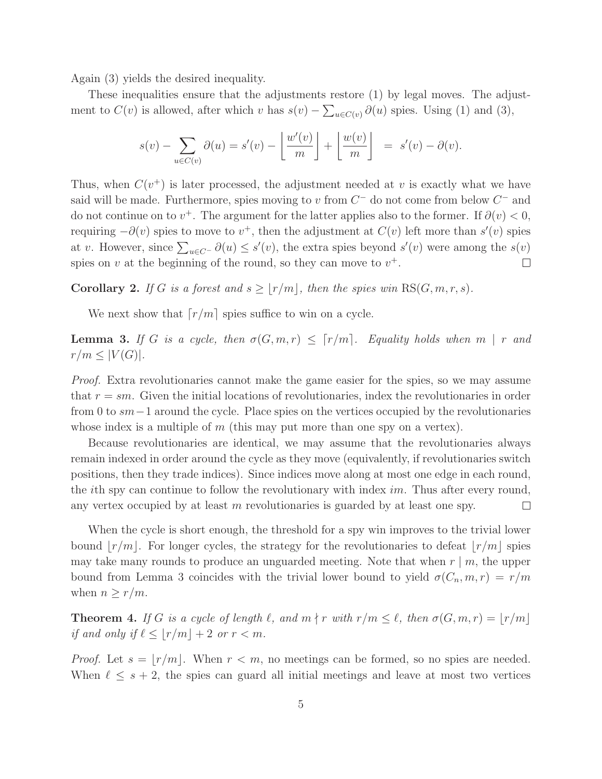Again (3) yields the desired inequality.

These inequalities ensure that the adjustments restore (1) by legal moves. The adjustment to  $C(v)$  is allowed, after which v has  $s(v) - \sum_{u \in C(v)} \partial(u)$  spies. Using (1) and (3),

$$
s(v) - \sum_{u \in C(v)} \partial(u) = s'(v) - \left\lfloor \frac{w'(v)}{m} \right\rfloor + \left\lfloor \frac{w(v)}{m} \right\rfloor = s'(v) - \partial(v).
$$

Thus, when  $C(v^+)$  is later processed, the adjustment needed at v is exactly what we have said will be made. Furthermore, spies moving to v from  $C^-$  do not come from below  $C^-$  and do not continue on to  $v^+$ . The argument for the latter applies also to the former. If  $\partial(v) < 0$ , requiring  $-\partial(v)$  spies to move to  $v^+$ , then the adjustment at  $C(v)$  left more than  $s'(v)$  spies at v. However, since  $\sum_{u \in C^-} \partial(u) \le s'(v)$ , the extra spies beyond  $s'(v)$  were among the  $s(v)$ spies on v at the beginning of the round, so they can move to  $v^+$ .  $\Box$ 

**Corollary 2.** If G is a forest and  $s \ge |r/m|$ , then the spies win RS(G, m, r, s).

We next show that  $\lceil r/m \rceil$  spies suffice to win on a cycle.

**Lemma 3.** If G is a cycle, then  $\sigma(G, m, r) \leq \lceil r/m \rceil$ . Equality holds when  $m \mid r$  and  $r/m \leq |V(G)|$ .

Proof. Extra revolutionaries cannot make the game easier for the spies, so we may assume that  $r = sm$ . Given the initial locations of revolutionaries, index the revolutionaries in order from 0 to sm−1 around the cycle. Place spies on the vertices occupied by the revolutionaries whose index is a multiple of  $m$  (this may put more than one spy on a vertex).

Because revolutionaries are identical, we may assume that the revolutionaries always remain indexed in order around the cycle as they move (equivalently, if revolutionaries switch positions, then they trade indices). Since indices move along at most one edge in each round, the *i*th spy can continue to follow the revolutionary with index  $im$ . Thus after every round, any vertex occupied by at least m revolutionaries is guarded by at least one spy.  $\Box$ 

When the cycle is short enough, the threshold for a spy win improves to the trivial lower bound  $|r/m|$ . For longer cycles, the strategy for the revolutionaries to defeat  $|r/m|$  spies may take many rounds to produce an unguarded meeting. Note that when  $r \mid m$ , the upper bound from Lemma 3 coincides with the trivial lower bound to yield  $\sigma(C_n, m, r) = r/m$ when  $n \geq r/m$ .

**Theorem 4.** If G is a cycle of length  $\ell$ , and  $m \nmid r$  with  $r/m \leq \ell$ , then  $\sigma(G, m, r) = \lfloor r/m \rfloor$ if and only if  $\ell \leq |r/m| + 2$  or  $r < m$ .

*Proof.* Let  $s = |r/m|$ . When  $r < m$ , no meetings can be formed, so no spies are needed. When  $\ell \leq s+2$ , the spies can guard all initial meetings and leave at most two vertices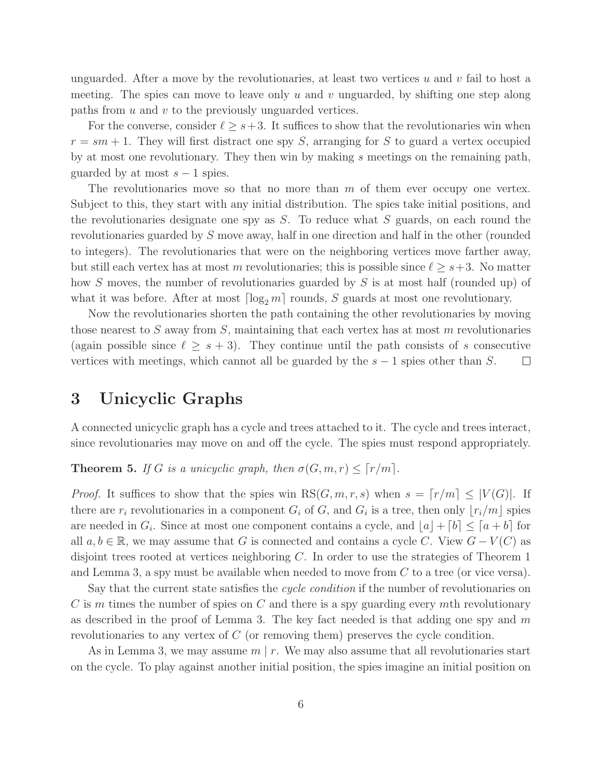unguarded. After a move by the revolutionaries, at least two vertices  $u$  and  $v$  fail to host a meeting. The spies can move to leave only u and v unguarded, by shifting one step along paths from  $u$  and  $v$  to the previously unguarded vertices.

For the converse, consider  $\ell \geq s+3$ . It suffices to show that the revolutionaries win when  $r = sm + 1$ . They will first distract one spy S, arranging for S to guard a vertex occupied by at most one revolutionary. They then win by making  $s$  meetings on the remaining path, guarded by at most  $s - 1$  spies.

The revolutionaries move so that no more than  $m$  of them ever occupy one vertex. Subject to this, they start with any initial distribution. The spies take initial positions, and the revolutionaries designate one spy as  $S$ . To reduce what  $S$  guards, on each round the revolutionaries guarded by S move away, half in one direction and half in the other (rounded to integers). The revolutionaries that were on the neighboring vertices move farther away, but still each vertex has at most m revolutionaries; this is possible since  $\ell \geq s+3$ . No matter how S moves, the number of revolutionaries guarded by S is at most half (rounded up) of what it was before. After at most  $\lceil \log_2 m \rceil$  rounds, S guards at most one revolutionary.

Now the revolutionaries shorten the path containing the other revolutionaries by moving those nearest to S away from S, maintaining that each vertex has at most  $m$  revolutionaries (again possible since  $\ell \geq s+3$ ). They continue until the path consists of s consecutive vertices with meetings, which cannot all be guarded by the  $s - 1$  spies other than S.  $\Box$ 

## 3 Unicyclic Graphs

A connected unicyclic graph has a cycle and trees attached to it. The cycle and trees interact, since revolutionaries may move on and off the cycle. The spies must respond appropriately.

**Theorem 5.** If G is a unicyclic graph, then  $\sigma(G, m, r) \leq \lceil r/m \rceil$ .

*Proof.* It suffices to show that the spies win  $RS(G, m, r, s)$  when  $s = \lceil r/m \rceil \leq |V(G)|$ . If there are  $r_i$  revolutionaries in a component  $G_i$  of  $G$ , and  $G_i$  is a tree, then only  $\lfloor r_i/m \rfloor$  spies are needed in  $G_i$ . Since at most one component contains a cycle, and  $\lfloor a \rfloor + \lceil b \rceil \leq \lceil a + b \rceil$  for all  $a, b \in \mathbb{R}$ , we may assume that G is connected and contains a cycle C. View  $G - V(C)$  as disjoint trees rooted at vertices neighboring C. In order to use the strategies of Theorem 1 and Lemma 3, a spy must be available when needed to move from  $C$  to a tree (or vice versa).

Say that the current state satisfies the *cycle condition* if the number of revolutionaries on  $C$  is m times the number of spies on  $C$  and there is a spy guarding every mth revolutionary as described in the proof of Lemma 3. The key fact needed is that adding one spy and  $m$ revolutionaries to any vertex of C (or removing them) preserves the cycle condition.

As in Lemma 3, we may assume  $m \mid r$ . We may also assume that all revolutionaries start on the cycle. To play against another initial position, the spies imagine an initial position on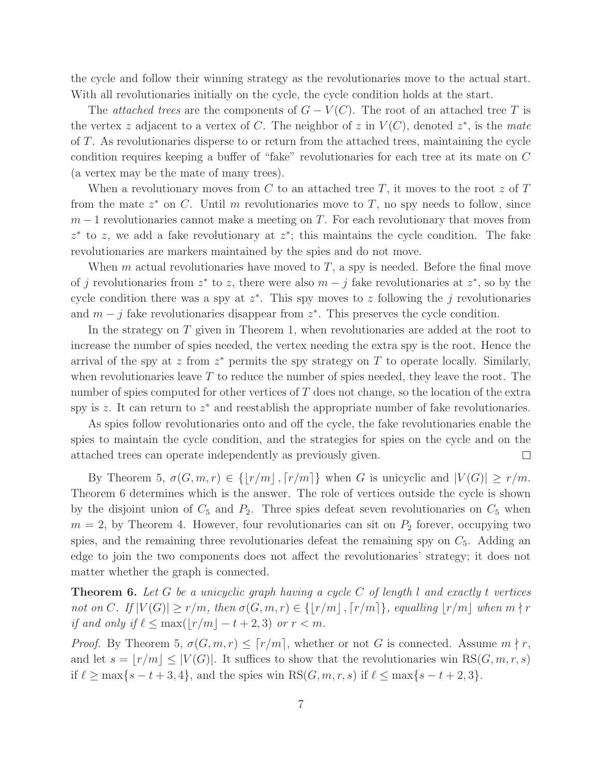the cycle and follow their winning strategy as the revolutionaries move to the actual start. With all revolutionaries initially on the cycle, the cycle condition holds at the start.

The *attached trees* are the components of  $G - V(C)$ . The root of an attached tree T is the vertex z adjacent to a vertex of C. The neighbor of z in  $V(C)$ , denoted  $z^*$ , is the mate of T. As revolutionaries disperse to or return from the attached trees, maintaining the cycle condition requires keeping a buffer of "fake" revolutionaries for each tree at its mate on C (a vertex may be the mate of many trees).

When a revolutionary moves from  $C$  to an attached tree  $T$ , it moves to the root  $z$  of  $T$ from the mate  $z^*$  on C. Until m revolutionaries move to T, no spy needs to follow, since  $m-1$  revolutionaries cannot make a meeting on T. For each revolutionary that moves from  $z^*$  to z, we add a fake revolutionary at  $z^*$ ; this maintains the cycle condition. The fake revolutionaries are markers maintained by the spies and do not move.

When m actual revolutionaries have moved to  $T$ , a spy is needed. Before the final move of j revolutionaries from  $z^*$  to z, there were also  $m - j$  fake revolutionaries at  $z^*$ , so by the cycle condition there was a spy at  $z^*$ . This spy moves to z following the j revolutionaries and  $m - j$  fake revolutionaries disappear from  $z^*$ . This preserves the cycle condition.

In the strategy on T given in Theorem 1, when revolutionaries are added at the root to increase the number of spies needed, the vertex needing the extra spy is the root. Hence the arrival of the spy at  $z$  from  $z^*$  permits the spy strategy on  $T$  to operate locally. Similarly, when revolutionaries leave  $T$  to reduce the number of spies needed, they leave the root. The number of spies computed for other vertices of  $T$  does not change, so the location of the extra spy is  $z$ . It can return to  $z^*$  and reestablish the appropriate number of fake revolutionaries.

As spies follow revolutionaries onto and off the cycle, the fake revolutionaries enable the spies to maintain the cycle condition, and the strategies for spies on the cycle and on the attached trees can operate independently as previously given.  $\Box$ 

By Theorem 5,  $\sigma(G, m, r) \in \{ |r/m|, \lceil r/m \rceil \}$  when G is unicyclic and  $|V(G)| \geq r/m$ . Theorem 6 determines which is the answer. The role of vertices outside the cycle is shown by the disjoint union of  $C_5$  and  $P_2$ . Three spies defeat seven revolutionaries on  $C_5$  when  $m = 2$ , by Theorem 4. However, four revolutionaries can sit on  $P_2$  forever, occupying two spies, and the remaining three revolutionaries defeat the remaining spy on  $C_5$ . Adding an edge to join the two components does not affect the revolutionaries' strategy; it does not matter whether the graph is connected.

**Theorem 6.** Let G be a unicyclic graph having a cycle C of length l and exactly t vertices not on C. If  $|V(G)| \ge r/m$ , then  $\sigma(G, m, r) \in \{ |r/m|, \lceil r/m \rceil \}$ , equalling  $|r/m|$  when  $m \nmid r$ if and only if  $\ell \leq \max(|r/m| - t + 2, 3)$  or  $r < m$ .

*Proof.* By Theorem 5,  $\sigma(G, m, r) \leq \lceil r/m \rceil$ , whether or not G is connected. Assume  $m \nmid r$ , and let  $s = |r/m| \leq |V(G)|$ . It suffices to show that the revolutionaries win RS(G, m, r, s) if  $\ell \ge \max\{s-t+3, 4\}$ , and the spies win  $RS(G, m, r, s)$  if  $\ell \le \max\{s-t+2, 3\}$ .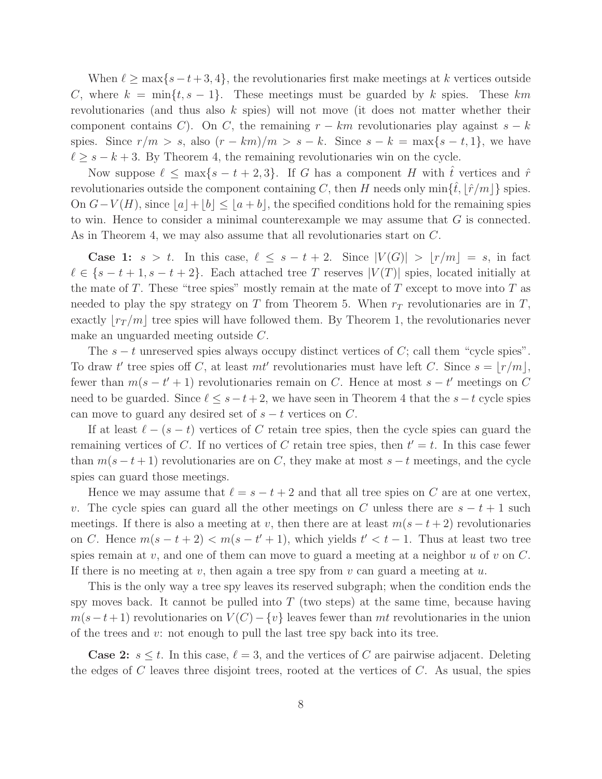When  $\ell \geq \max\{s-t+3, 4\}$ , the revolutionaries first make meetings at k vertices outside C, where  $k = \min\{t, s-1\}$ . These meetings must be guarded by k spies. These km revolutionaries (and thus also k spies) will not move (it does not matter whether their component contains C). On C, the remaining  $r - km$  revolutionaries play against  $s - k$ spies. Since  $r/m > s$ , also  $(r - km)/m > s - k$ . Since  $s - k = \max\{s - t, 1\}$ , we have  $\ell \geq s-k+3$ . By Theorem 4, the remaining revolutionaries win on the cycle.

Now suppose  $\ell \leq \max\{s-t+2,3\}$ . If G has a component H with  $\hat{t}$  vertices and  $\hat{r}$ revolutionaries outside the component containing C, then H needs only  $\min\{\hat{t},\|\hat{r}/m\|\}$  spies. On  $G-V(H)$ , since  $|a|+|b| \leq |a+b|$ , the specified conditions hold for the remaining spies to win. Hence to consider a minimal counterexample we may assume that G is connected. As in Theorem 4, we may also assume that all revolutionaries start on C.

**Case 1:**  $s > t$ . In this case,  $\ell \leq s - t + 2$ . Since  $|V(G)| > |r/m| = s$ , in fact  $\ell \in \{s-t+1, s-t+2\}$ . Each attached tree T reserves  $|V(T)|$  spies, located initially at the mate of T. These "tree spies" mostly remain at the mate of T except to move into T as needed to play the spy strategy on T from Theorem 5. When  $r<sub>T</sub>$  revolutionaries are in T, exactly  $|r_T/m|$  tree spies will have followed them. By Theorem 1, the revolutionaries never make an unguarded meeting outside C.

The  $s - t$  unreserved spies always occupy distinct vertices of C; call them "cycle spies". To draw t' tree spies off C, at least  $mt'$  revolutionaries must have left C. Since  $s = \lfloor r/m \rfloor$ , fewer than  $m(s - t' + 1)$  revolutionaries remain on C. Hence at most  $s - t'$  meetings on C need to be guarded. Since  $\ell \leq s-t+2$ , we have seen in Theorem 4 that the  $s-t$  cycle spies can move to guard any desired set of  $s - t$  vertices on C.

If at least  $\ell - (s - t)$  vertices of C retain tree spies, then the cycle spies can guard the remaining vertices of C. If no vertices of C retain tree spies, then  $t' = t$ . In this case fewer than  $m(s-t+1)$  revolutionaries are on C, they make at most  $s-t$  meetings, and the cycle spies can guard those meetings.

Hence we may assume that  $\ell = s - t + 2$  and that all tree spies on C are at one vertex, v. The cycle spies can guard all the other meetings on C unless there are  $s - t + 1$  such meetings. If there is also a meeting at v, then there are at least  $m(s-t+2)$  revolutionaries on C. Hence  $m(s-t+2) < m(s-t'+1)$ , which yields  $t' < t-1$ . Thus at least two tree spies remain at v, and one of them can move to guard a meeting at a neighbor  $u$  of  $v$  on  $C$ . If there is no meeting at v, then again a tree spy from  $v$  can guard a meeting at  $u$ .

This is the only way a tree spy leaves its reserved subgraph; when the condition ends the spy moves back. It cannot be pulled into  $T$  (two steps) at the same time, because having  $m(s-t+1)$  revolutionaries on  $V(C) - \{v\}$  leaves fewer than mt revolutionaries in the union of the trees and  $v$ : not enough to pull the last tree spy back into its tree.

**Case 2:**  $s \leq t$ . In this case,  $\ell = 3$ , and the vertices of C are pairwise adjacent. Deleting the edges of  $C$  leaves three disjoint trees, rooted at the vertices of  $C$ . As usual, the spies